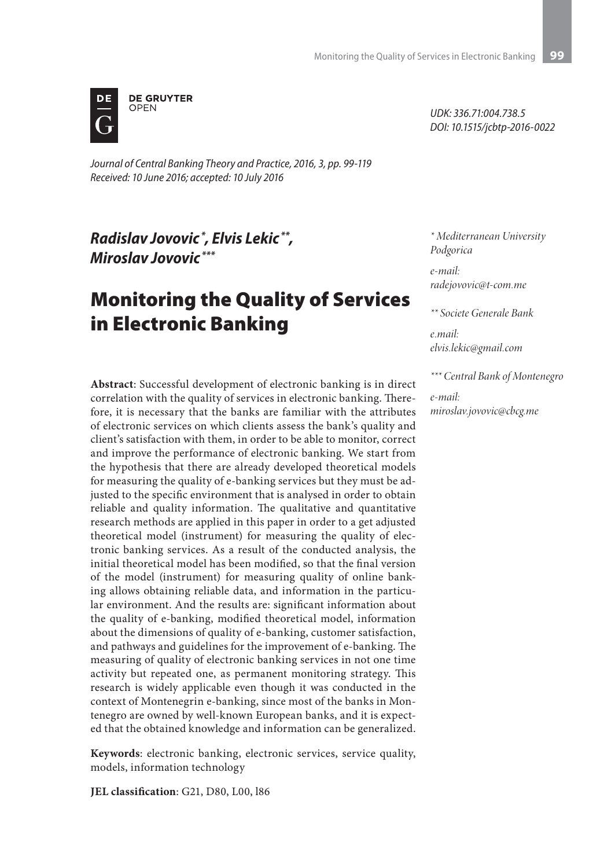

*Journal of Central Banking Theory and Practice, 2016, 3, pp. 99-119 Received: 10 June 2016; accepted: 10 July 2016*

*Radislav Jovovic \*, Elvis Lekic \*\*, Miroslav Jovovic \*\*\**

# Monitoring the Quality of Services in Electronic Banking

**Abstract**: Successful development of electronic banking is in direct correlation with the quality of services in electronic banking. Therefore, it is necessary that the banks are familiar with the attributes of electronic services on which clients assess the bank's quality and client's satisfaction with them, in order to be able to monitor, correct and improve the performance of electronic banking. We start from the hypothesis that there are already developed theoretical models for measuring the quality of e-banking services but they must be adjusted to the specific environment that is analysed in order to obtain reliable and quality information. The qualitative and quantitative research methods are applied in this paper in order to a get adjusted theoretical model (instrument) for measuring the quality of electronic banking services. As a result of the conducted analysis, the initial theoretical model has been modified, so that the final version of the model (instrument) for measuring quality of online banking allows obtaining reliable data, and information in the particular environment. And the results are: significant information about the quality of e-banking, modified theoretical model, information about the dimensions of quality of e-banking, customer satisfaction, and pathways and guidelines for the improvement of e-banking. The measuring of quality of electronic banking services in not one time activity but repeated one, as permanent monitoring strategy. This research is widely applicable even though it was conducted in the context of Montenegrin e-banking, since most of the banks in Montenegro are owned by well-known European banks, and it is expected that the obtained knowledge and information can be generalized.

**Keywords**: electronic banking, electronic services, service quality, models, information technology

**JEL classification**: G21, D80, L00, l86

*UDK: 336.71:004.738.5 DOI: 10.1515/jcbtp-2016-0022*

*\* Mediterranean University Podgorica*

*e-mail: radejovovic@t-com.me*

*\*\* Societe Generale Bank*

*e.mail: elvis.lekic@gmail.com*

*\*\*\* Central Bank of Montenegro*

*e-mail: miroslav.jovovic@cbcg.me*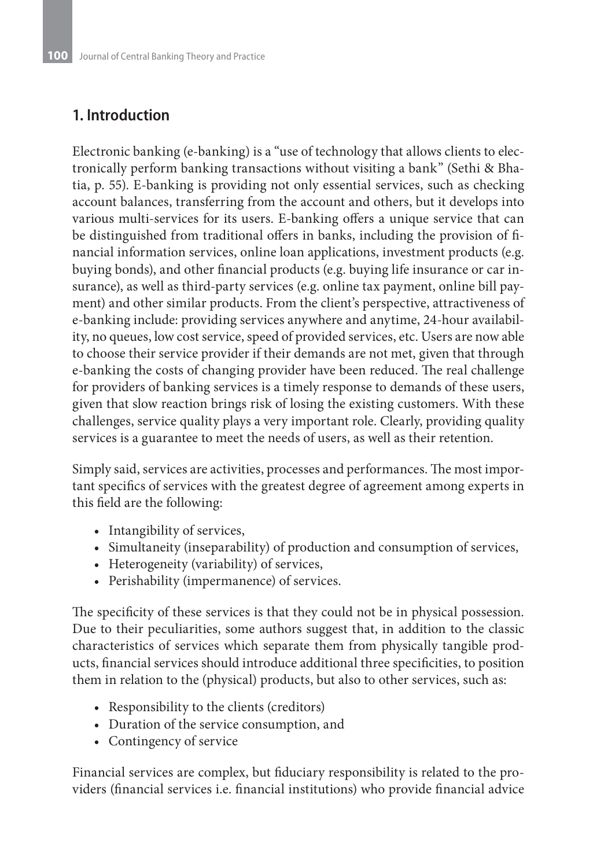# **1. Introduction**

Electronic banking (e-banking) is a "use of technology that allows clients to electronically perform banking transactions without visiting a bank" (Sethi & Bhatia, p. 55). E-banking is providing not only essential services, such as checking account balances, transferring from the account and others, but it develops into various multi-services for its users. E-banking offers a unique service that can be distinguished from traditional offers in banks, including the provision of financial information services, online loan applications, investment products (e.g. buying bonds), and other financial products (e.g. buying life insurance or car insurance), as well as third-party services (e.g. online tax payment, online bill payment) and other similar products. From the client's perspective, attractiveness of e-banking include: providing services anywhere and anytime, 24-hour availability, no queues, low cost service, speed of provided services, etc. Users are now able to choose their service provider if their demands are not met, given that through e-banking the costs of changing provider have been reduced. The real challenge for providers of banking services is a timely response to demands of these users, given that slow reaction brings risk of losing the existing customers. With these challenges, service quality plays a very important role. Clearly, providing quality services is a guarantee to meet the needs of users, as well as their retention.

Simply said, services are activities, processes and performances. The most important specifics of services with the greatest degree of agreement among experts in this field are the following:

- Intangibility of services,
- Simultaneity (inseparability) of production and consumption of services,
- Heterogeneity (variability) of services,
- • Perishability (impermanence) of services.

The specificity of these services is that they could not be in physical possession. Due to their peculiarities, some authors suggest that, in addition to the classic characteristics of services which separate them from physically tangible products, financial services should introduce additional three specificities, to position them in relation to the (physical) products, but also to other services, such as:

- Responsibility to the clients (creditors)
- Duration of the service consumption, and
- Contingency of service

Financial services are complex, but fiduciary responsibility is related to the providers (financial services i.e. financial institutions) who provide financial advice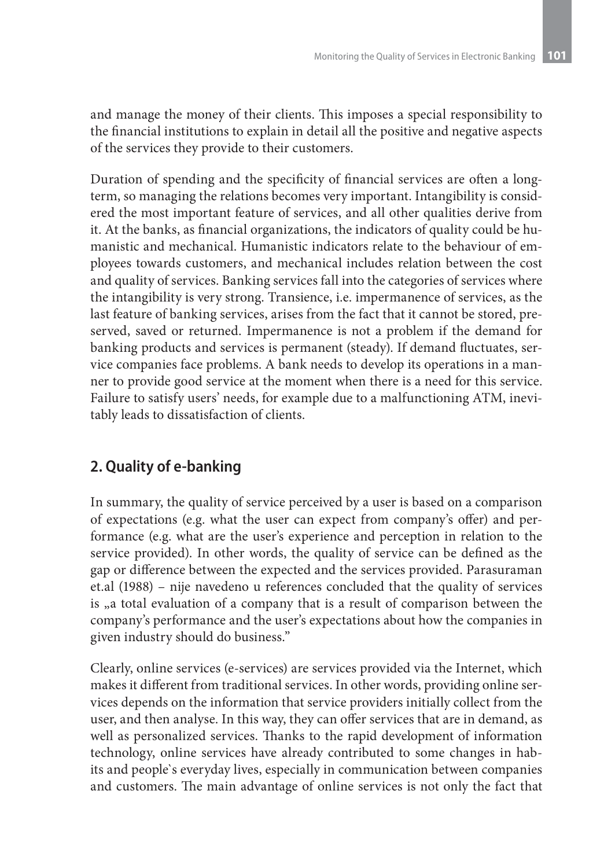and manage the money of their clients. This imposes a special responsibility to the financial institutions to explain in detail all the positive and negative aspects of the services they provide to their customers.

Duration of spending and the specificity of financial services are often a longterm, so managing the relations becomes very important. Intangibility is considered the most important feature of services, and all other qualities derive from it. At the banks, as financial organizations, the indicators of quality could be humanistic and mechanical. Humanistic indicators relate to the behaviour of employees towards customers, and mechanical includes relation between the cost and quality of services. Banking services fall into the categories of services where the intangibility is very strong. Transience, i.e. impermanence of services, as the last feature of banking services, arises from the fact that it cannot be stored, preserved, saved or returned. Impermanence is not a problem if the demand for banking products and services is permanent (steady). If demand fluctuates, service companies face problems. A bank needs to develop its operations in a manner to provide good service at the moment when there is a need for this service. Failure to satisfy users' needs, for example due to a malfunctioning ATM, inevitably leads to dissatisfaction of clients.

## **2. Quality of e-banking**

In summary, the quality of service perceived by a user is based on a comparison of expectations (e.g. what the user can expect from company's offer) and performance (e.g. what are the user's experience and perception in relation to the service provided). In other words, the quality of service can be defined as the gap or difference between the expected and the services provided. Parasuraman et.al (1988) – nije navedeno u references concluded that the quality of services is "a total evaluation of a company that is a result of comparison between the company's performance and the user's expectations about how the companies in given industry should do business."

Clearly, online services (e-services) are services provided via the Internet, which makes it different from traditional services. In other words, providing online services depends on the information that service providers initially collect from the user, and then analyse. In this way, they can offer services that are in demand, as well as personalized services. Thanks to the rapid development of information technology, online services have already contributed to some changes in habits and people`s everyday lives, especially in communication between companies and customers. The main advantage of online services is not only the fact that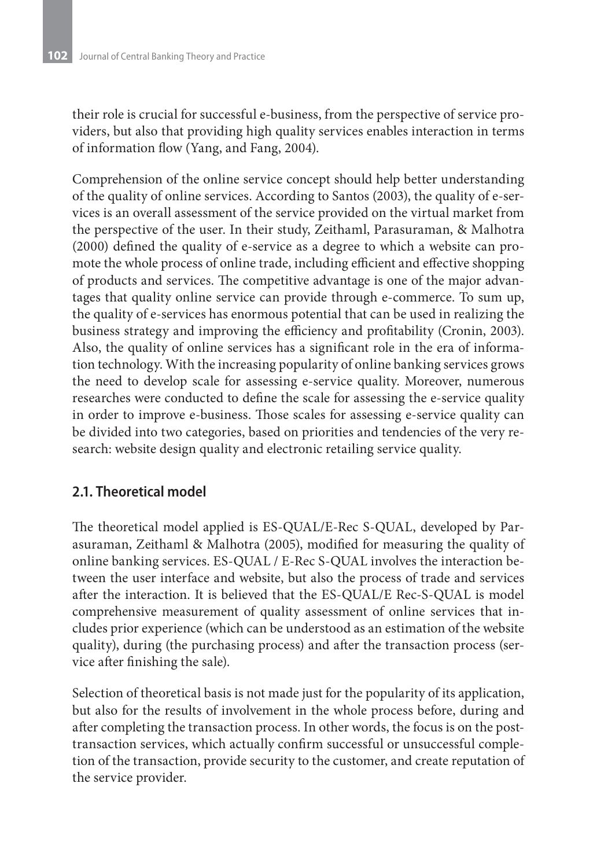their role is crucial for successful e-business, from the perspective of service providers, but also that providing high quality services enables interaction in terms of information flow (Yang, and Fang, 2004).

Comprehension of the online service concept should help better understanding of the quality of online services. According to Santos (2003), the quality of e-services is an overall assessment of the service provided on the virtual market from the perspective of the user. In their study, Zeithaml, Parasuraman, & Malhotra (2000) defined the quality of e-service as a degree to which a website can promote the whole process of online trade, including efficient and effective shopping of products and services. The competitive advantage is one of the major advantages that quality online service can provide through e-commerce. To sum up, the quality of e-services has enormous potential that can be used in realizing the business strategy and improving the efficiency and profitability (Cronin, 2003). Also, the quality of online services has a significant role in the era of information technology. With the increasing popularity of online banking services grows the need to develop scale for assessing e-service quality. Moreover, numerous researches were conducted to define the scale for assessing the e-service quality in order to improve e-business. Those scales for assessing e-service quality can be divided into two categories, based on priorities and tendencies of the very research: website design quality and electronic retailing service quality.

### **2.1. Theoretical model**

The theoretical model applied is ES-QUAL/E-Rec S-QUAL, developed by Parasuraman, Zeithaml & Malhotra (2005), modified for measuring the quality of online banking services. ES-QUAL / E-Rec S-QUAL involves the interaction between the user interface and website, but also the process of trade and services after the interaction. It is believed that the ES-QUAL/E Rec-S-QUAL is model comprehensive measurement of quality assessment of online services that includes prior experience (which can be understood as an estimation of the website quality), during (the purchasing process) and after the transaction process (service after finishing the sale).

Selection of theoretical basis is not made just for the popularity of its application, but also for the results of involvement in the whole process before, during and after completing the transaction process. In other words, the focus is on the posttransaction services, which actually confirm successful or unsuccessful completion of the transaction, provide security to the customer, and create reputation of the service provider.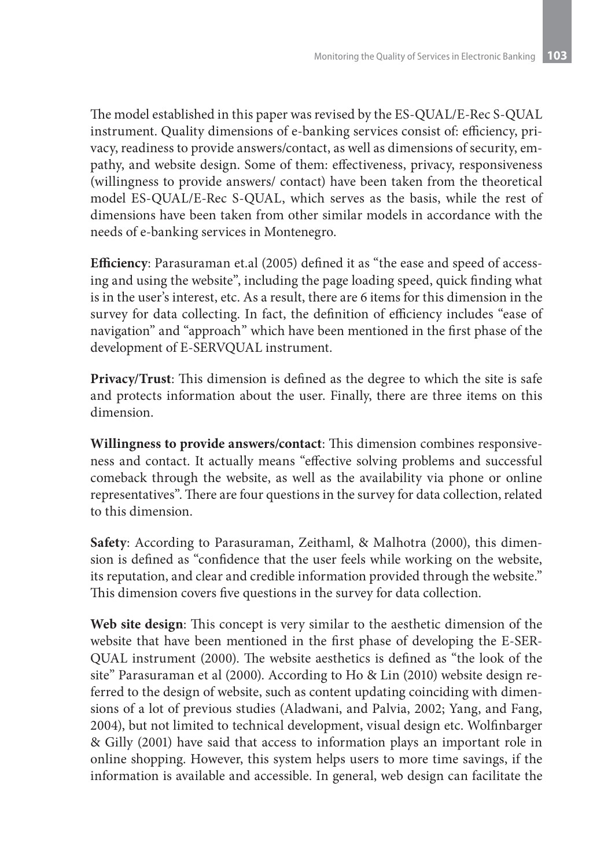The model established in this paper was revised by the ES-QUAL/E-Rec S-QUAL instrument. Quality dimensions of e-banking services consist of: efficiency, privacy, readiness to provide answers/contact, as well as dimensions of security, empathy, and website design. Some of them: effectiveness, privacy, responsiveness (willingness to provide answers/ contact) have been taken from the theoretical model ES-QUAL/E-Rec S-QUAL, which serves as the basis, while the rest of dimensions have been taken from other similar models in accordance with the needs of e-banking services in Montenegro.

**Efficiency**: Parasuraman et.al (2005) defined it as "the ease and speed of accessing and using the website", including the page loading speed, quick finding what is in the user's interest, etc. As a result, there are 6 items for this dimension in the survey for data collecting. In fact, the definition of efficiency includes "ease of navigation" and "approach" which have been mentioned in the first phase of the development of E-SERVQUAL instrument.

**Privacy/Trust**: This dimension is defined as the degree to which the site is safe and protects information about the user. Finally, there are three items on this dimension.

**Willingness to provide answers/contact**: This dimension combines responsiveness and contact. It actually means "effective solving problems and successful comeback through the website, as well as the availability via phone or online representatives". There are four questions in the survey for data collection, related to this dimension.

**Safety**: According to Parasuraman, Zeithaml, & Malhotra (2000), this dimension is defined as "confidence that the user feels while working on the website, its reputation, and clear and credible information provided through the website." This dimension covers five questions in the survey for data collection.

**Web site design**: This concept is very similar to the aesthetic dimension of the website that have been mentioned in the first phase of developing the E-SER-QUAL instrument (2000). The website aesthetics is defined as "the look of the site" Parasuraman et al (2000). According to Ho & Lin (2010) website design referred to the design of website, such as content updating coinciding with dimensions of a lot of previous studies (Aladwani, and Palvia, 2002; Yang, and Fang, 2004), but not limited to technical development, visual design etc. Wolfinbarger & Gilly (2001) have said that access to information plays an important role in online shopping. However, this system helps users to more time savings, if the information is available and accessible. In general, web design can facilitate the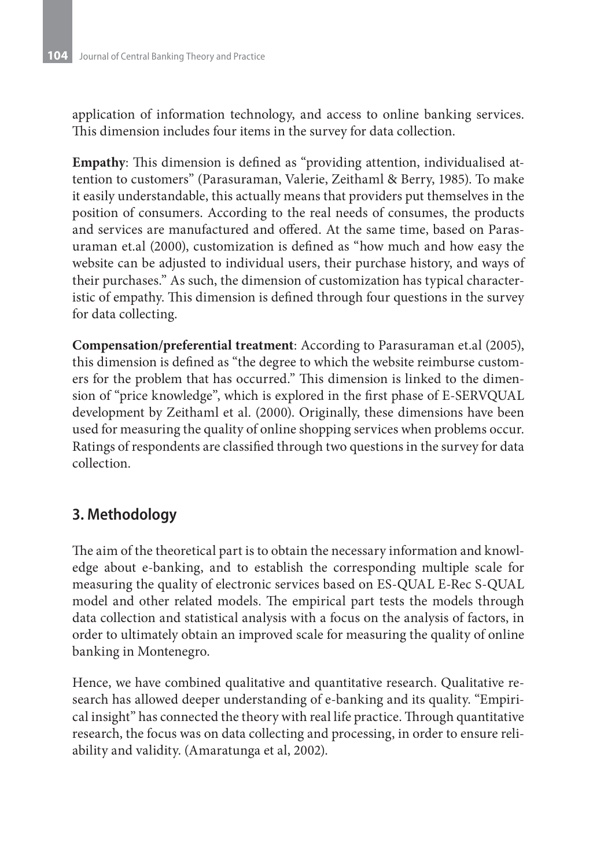application of information technology, and access to online banking services. This dimension includes four items in the survey for data collection.

**Empathy**: This dimension is defined as "providing attention, individualised attention to customers" (Parasuraman, Valerie, Zeithaml & Berry, 1985). To make it easily understandable, this actually means that providers put themselves in the position of consumers. According to the real needs of consumes, the products and services are manufactured and offered. At the same time, based on Parasuraman et.al (2000), customization is defined as "how much and how easy the website can be adjusted to individual users, their purchase history, and ways of their purchases." As such, the dimension of customization has typical characteristic of empathy. This dimension is defined through four questions in the survey for data collecting.

**Compensation/preferential treatment**: According to Parasuraman et.al (2005), this dimension is defined as "the degree to which the website reimburse customers for the problem that has occurred." This dimension is linked to the dimension of "price knowledge", which is explored in the first phase of E-SERVQUAL development by Zeithaml et al. (2000). Originally, these dimensions have been used for measuring the quality of online shopping services when problems occur. Ratings of respondents are classified through two questions in the survey for data collection.

## **3. Methodology**

The aim of the theoretical part is to obtain the necessary information and knowledge about e-banking, and to establish the corresponding multiple scale for measuring the quality of electronic services based on ES-QUAL E-Rec S-QUAL model and other related models. The empirical part tests the models through data collection and statistical analysis with a focus on the analysis of factors, in order to ultimately obtain an improved scale for measuring the quality of online banking in Montenegro.

Hence, we have combined qualitative and quantitative research. Qualitative research has allowed deeper understanding of e-banking and its quality. "Empirical insight" has connected the theory with real life practice. Through quantitative research, the focus was on data collecting and processing, in order to ensure reliability and validity. (Amaratunga et al, 2002).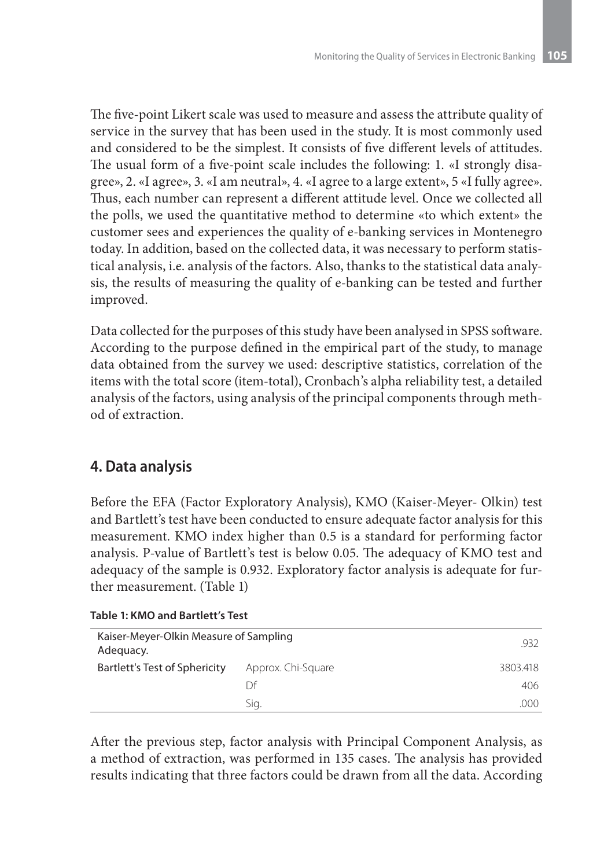The five-point Likert scale was used to measure and assess the attribute quality of service in the survey that has been used in the study. It is most commonly used and considered to be the simplest. It consists of five different levels of attitudes. The usual form of a five-point scale includes the following: 1. «I strongly disagree», 2. «I agree», 3. «I am neutral», 4. «I agree to a large extent», 5 «I fully agree». Thus, each number can represent a different attitude level. Once we collected all the polls, we used the quantitative method to determine «to which extent» the customer sees and experiences the quality of e-banking services in Montenegro today. In addition, based on the collected data, it was necessary to perform statistical analysis, i.e. analysis of the factors. Also, thanks to the statistical data analysis, the results of measuring the quality of e-banking can be tested and further improved.

Data collected for the purposes of this study have been analysed in SPSS software. According to the purpose defined in the empirical part of the study, to manage data obtained from the survey we used: descriptive statistics, correlation of the items with the total score (item-total), Cronbach's alpha reliability test, a detailed analysis of the factors, using analysis of the principal components through method of extraction.

### **4. Data analysis**

Before the EFA (Factor Exploratory Analysis), KMO (Kaiser-Meyer- Olkin) test and Bartlett's test have been conducted to ensure adequate factor analysis for this measurement. KMO index higher than 0.5 is a standard for performing factor analysis. P-value of Bartlett's test is below 0.05. The adequacy of KMO test and adequacy of the sample is 0.932. Exploratory factor analysis is adequate for further measurement. (Table 1)

**Table 1: KMO and Bartlett's Test**

| Kaiser-Meyer-Olkin Measure of Sampling<br>Adequacy. |                    | .932     |
|-----------------------------------------------------|--------------------|----------|
| Bartlett's Test of Sphericity                       | Approx. Chi-Square | 3803.418 |
|                                                     | Γh                 | 406      |
|                                                     | Sig.               | .000     |

After the previous step, factor analysis with Principal Component Analysis, as a method of extraction, was performed in 135 cases. The analysis has provided results indicating that three factors could be drawn from all the data. According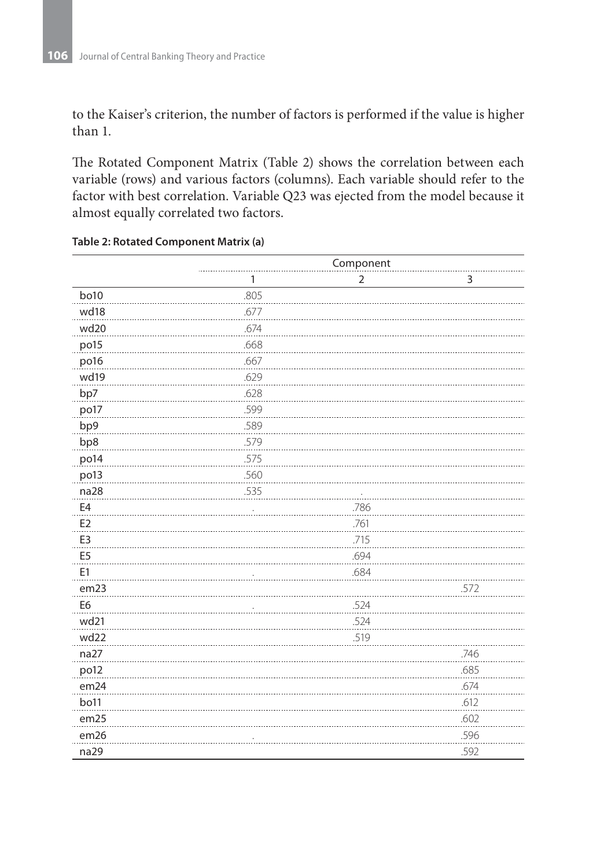to the Kaiser's criterion, the number of factors is performed if the value is higher than 1.

The Rotated Component Matrix (Table 2) shows the correlation between each variable (rows) and various factors (columns). Each variable should refer to the factor with best correlation. Variable Q23 was ejected from the model because it almost equally correlated two factors.

|                |      | Component |      |
|----------------|------|-----------|------|
|                | 1    | 2         | 3    |
| bo10           | .805 |           |      |
| wd18           | .677 |           |      |
| wd20           | .674 |           |      |
| po15           | .668 |           |      |
| po16           | .667 |           |      |
| wd19           | .629 |           |      |
| bp7            | .628 |           |      |
| po17           | .599 |           |      |
| bp9            | .589 |           |      |
| bp8            | .579 |           |      |
| po14           | .575 |           |      |
| po13           | .560 |           |      |
| na28           | .535 |           |      |
| $\mathsf{E}4$  |      | .786      |      |
| E <sub>2</sub> |      | .761      |      |
| E3             |      | .715      |      |
| E5             |      | .694      |      |
| E1             |      | .684      |      |
| em23           |      |           | .572 |
| E6             |      | .524      |      |
| wd21           |      | .524      |      |
| wd22           |      | .519      |      |
| na27           |      |           | .746 |
| po12           |      |           | .685 |
| em24           |      |           | .674 |
| bo11           |      |           | .612 |
| em25           |      |           | .602 |
| em26           |      |           | .596 |
| na29           |      |           | .592 |

#### **Table 2: Rotated Component Matrix (a)**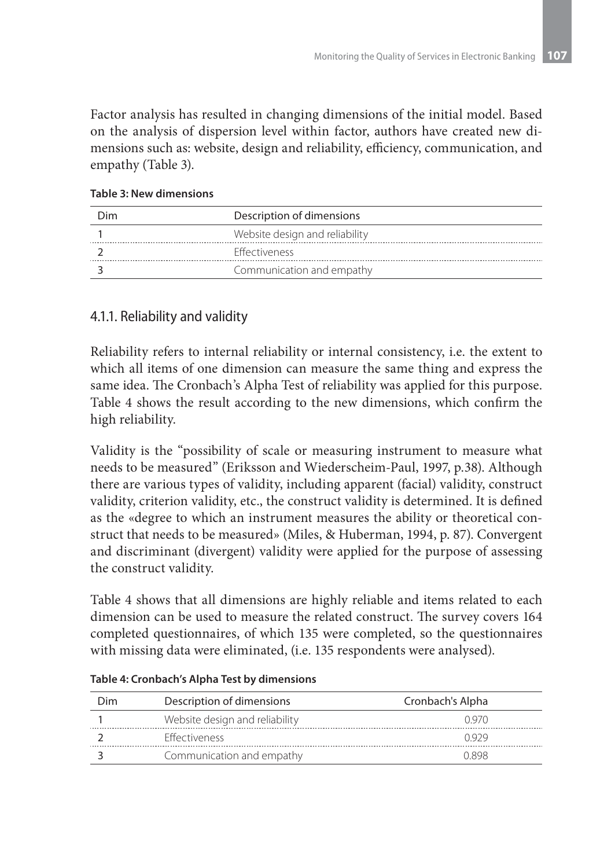Factor analysis has resulted in changing dimensions of the initial model. Based on the analysis of dispersion level within factor, authors have created new dimensions such as: website, design and reliability, efficiency, communication, and empathy (Table 3).

| Description of dimensions      |
|--------------------------------|
| Website design and reliability |
| <b>Effectiveness</b>           |
| Communication and empathy      |

### **Table 3: New dimensions**

### 4.1.1. Reliability and validity

Reliability refers to internal reliability or internal consistency, i.e. the extent to which all items of one dimension can measure the same thing and express the same idea. The Cronbach's Alpha Test of reliability was applied for this purpose. Table 4 shows the result according to the new dimensions, which confirm the high reliability.

Validity is the "possibility of scale or measuring instrument to measure what needs to be measured" (Eriksson and Wiederscheim-Paul, 1997, p.38). Although there are various types of validity, including apparent (facial) validity, construct validity, criterion validity, etc., the construct validity is determined. It is defined as the «degree to which an instrument measures the ability or theoretical construct that needs to be measured» (Miles, & Huberman, 1994, p. 87). Convergent and discriminant (divergent) validity were applied for the purpose of assessing the construct validity.

Table 4 shows that all dimensions are highly reliable and items related to each dimension can be used to measure the related construct. The survey covers 164 completed questionnaires, of which 135 were completed, so the questionnaires with missing data were eliminated, (i.e. 135 respondents were analysed).

| Description of dimensions      | Cronbach's Alpha |
|--------------------------------|------------------|
| Website design and reliability | 0970             |
| <b>Effectiveness</b>           | U 0 2 0          |
| Communication and empathy      | N 898            |
|                                |                  |

**Table 4: Cronbach's Alpha Test by dimensions**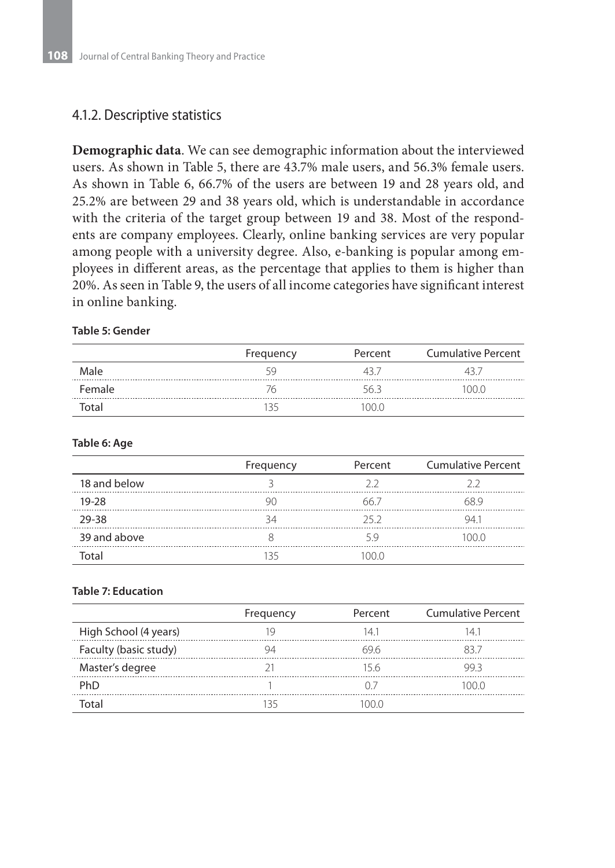### 4.1.2. Descriptive statistics

**Demographic data**. We can see demographic information about the interviewed users. As shown in Table 5, there are 43.7% male users, and 56.3% female users. As shown in Table 6, 66.7% of the users are between 19 and 28 years old, and 25.2% are between 29 and 38 years old, which is understandable in accordance with the criteria of the target group between 19 and 38. Most of the respondents are company employees. Clearly, online banking services are very popular among people with a university degree. Also, e-banking is popular among employees in different areas, as the percentage that applies to them is higher than 20%. As seen in Table 9, the users of all income categories have significant interest in online banking.

#### **Table 5: Gender**

|        | Frequency | Percent | Cumulative Percent |
|--------|-----------|---------|--------------------|
| Male   |           |         |                    |
| Female |           |         | (1)                |
| Total  |           | (1)     |                    |

**Table 6: Age**

|              | Frequency | Percent | <b>Cumulative Percent</b> |
|--------------|-----------|---------|---------------------------|
| 18 and below |           | フフ      |                           |
| 19-28        |           | 66 7    | 68 9                      |
| 29-38        |           | フ5 フ    | 94 1                      |
| 39 and above |           |         | 100 O                     |
| Total        |           | . വ വ   |                           |

#### **Table 7: Education**

|                       | Frequency | Percent | <b>Cumulative Percent</b> |
|-----------------------|-----------|---------|---------------------------|
| High School (4 years) |           | I 41    | 14 1                      |
| Faculty (basic study) |           | 696     |                           |
| Master's degree       |           | 156     | 99 3                      |
| PhD.                  |           |         | INN N                     |
| ntal                  |           | ገበ በ    |                           |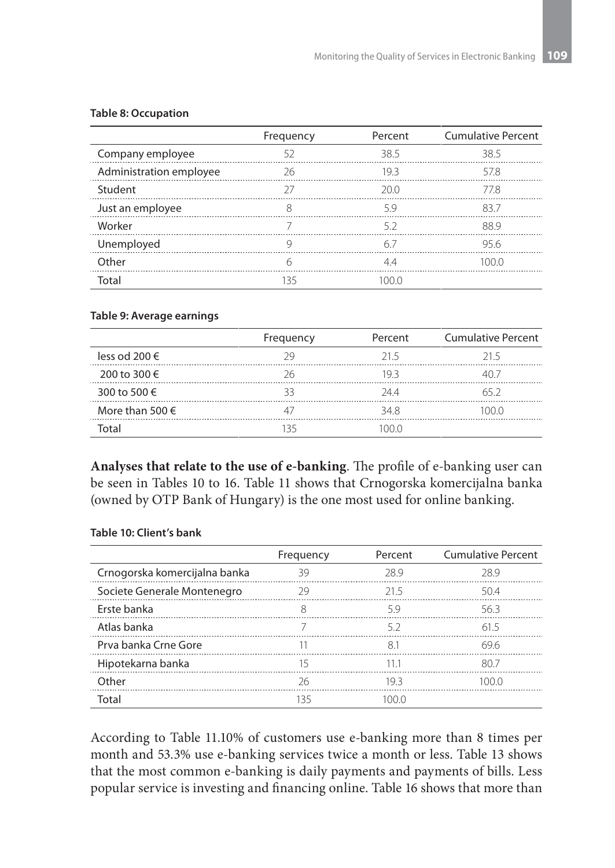#### **Table 8: Occupation**

|                         | Frequency | Percent | <b>Cumulative Percent</b> |
|-------------------------|-----------|---------|---------------------------|
| Company employee        | 52        | 38.5    | 385                       |
| Administration employee | 26        | 193     | 578                       |
| Student                 |           | 20 O    | 778                       |
| Just an employee        |           | 59      | 837                       |
| Worker                  |           | 52      | 889                       |
| Unemployed              |           | 67      | 956                       |
| Other                   | 6         | 44      | 1000                      |
| Total                   | 135       | INN N   |                           |

#### **Table 9: Average earnings**

|                          | Frequency | Percent | <b>Cumulative Percent</b> |
|--------------------------|-----------|---------|---------------------------|
| less od 200 $\epsilon$   |           | 21.5    | 21 5                      |
| 200 to 300 €             | 76        |         | 40 Z                      |
| 300 to 500 €             |           | 74 4    | 65 2                      |
| More than 500 $\epsilon$ |           | 348     | nn n                      |
| Total                    |           |         |                           |

**Analyses that relate to the use of e-banking**. The profile of e-banking user can be seen in Tables 10 to 16. Table 11 shows that Crnogorska komercijalna banka (owned by OTP Bank of Hungary) is the one most used for online banking.

|                               | Frequency | Percent | <b>Cumulative Percent</b> |
|-------------------------------|-----------|---------|---------------------------|
| Crnogorska komercijalna banka | 39        | 289     | 289                       |
| Societe Generale Montenegro   | 79        | 21.5    | 504                       |
| Erste banka                   | 8         | 59      | 563                       |
| Atlas banka                   |           | 52      | 615                       |
| Prva banka Crne Gore          |           | 81      | 696                       |
| Hipotekarna banka             |           | 11 1    | 807                       |
| Other                         | 26        | 193     | 100 O                     |
| Total                         | 135       | 100 O   |                           |

#### **Table 10: Client's bank**

According to Table 11.10% of customers use e-banking more than 8 times per month and 53.3% use e-banking services twice a month or less. Table 13 shows that the most common e-banking is daily payments and payments of bills. Less popular service is investing and financing online. Table 16 shows that more than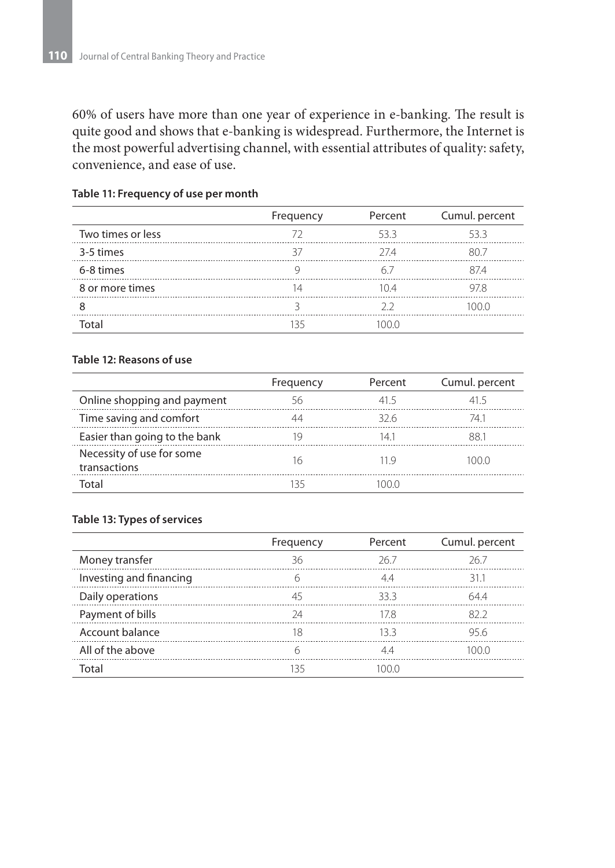60% of users have more than one year of experience in e-banking. The result is quite good and shows that e-banking is widespread. Furthermore, the Internet is the most powerful advertising channel, with essential attributes of quality: safety, convenience, and ease of use.

|                   | Frequency | Percent | Cumul. percent |
|-------------------|-----------|---------|----------------|
| Two times or less |           | 533     | 533            |
| 3-5 times         |           | 274     |                |
| 6-8 times         |           |         | 874            |
| 8 or more times   |           | 104     | 978            |
|                   |           |         | nn r           |
| へキっ               |           |         |                |

#### **Table 11: Frequency of use per month**

#### **Table 12: Reasons of use**

|                                           | Frequency | Percent | Cumul. percent |
|-------------------------------------------|-----------|---------|----------------|
| Online shopping and payment               |           | 415     | 41.5           |
| Time saving and comfort                   |           | 326     | 74 1           |
| Easier than going to the bank             |           | 14 1    | 881            |
| Necessity of use for some<br>transactions | 16        | 11 Q    | 100 O          |
| -ntal                                     |           |         |                |

#### **Table 13: Types of services**

|                         | Frequency | Percent | Cumul. percent |
|-------------------------|-----------|---------|----------------|
| Money transfer          | 36        | 26.7    | 26 7           |
| Investing and financing |           | 44      | 31 1           |
| Daily operations        |           | 333     | 644            |
| Payment of bills        |           | 178     | 82 2           |
| Account balance         |           | 13 3    | 956            |
| All of the above        |           |         | nn r           |
| -<br>∩†a                |           |         |                |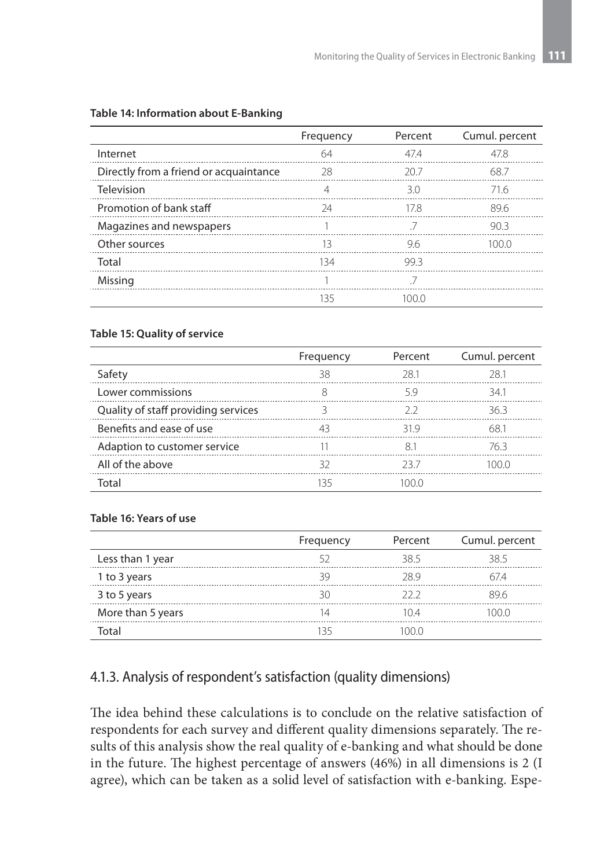|                                        | Frequency | Percent | Cumul. percent |
|----------------------------------------|-----------|---------|----------------|
| Internet                               | 64        | 474     | 47.8           |
| Directly from a friend or acquaintance | 28        | 20.7    | 68.7           |
| Television                             |           | 30      | 716            |
| Promotion of bank staff                | 24        | 178     | 89.6           |
| Magazines and newspapers               |           |         | 903            |
| Other sources                          | 13        | 9.6     | 1000           |
| Total                                  | 134       | 993     |                |
| Missing                                |           |         |                |
|                                        | 135       | ח חרו ו |                |

#### **Table 14: Information about E-Banking**

#### **Table 15: Quality of service**

|                                     | Frequency | Percent | Cumul. percent |
|-------------------------------------|-----------|---------|----------------|
| Safety                              | 38        | 281     | 28.1           |
| Lower commissions                   |           | 59      | 341            |
| Quality of staff providing services |           |         | 363            |
| Benefits and ease of use            |           | 319     | 681            |
| Adaption to customer service        |           |         | 76 3           |
| All of the above                    | スフ        | 23 Z    | INN N          |
| Total                               | 135       |         |                |

#### **Table 16: Years of use**

|                   | Frequency | Percent | Cumul. percent |
|-------------------|-----------|---------|----------------|
| Less than 1 year  |           | 38.5    | 38 5           |
| 1 to 3 years      |           | 28 Q    |                |
| 3 to 5 years      |           | 27 D    | 29 A           |
| More than 5 years |           |         | nn n           |
| Total             |           |         |                |

### 4.1.3. Analysis of respondent's satisfaction (quality dimensions)

The idea behind these calculations is to conclude on the relative satisfaction of respondents for each survey and different quality dimensions separately. The results of this analysis show the real quality of e-banking and what should be done in the future. The highest percentage of answers (46%) in all dimensions is 2 (I agree), which can be taken as a solid level of satisfaction with e-banking. Espe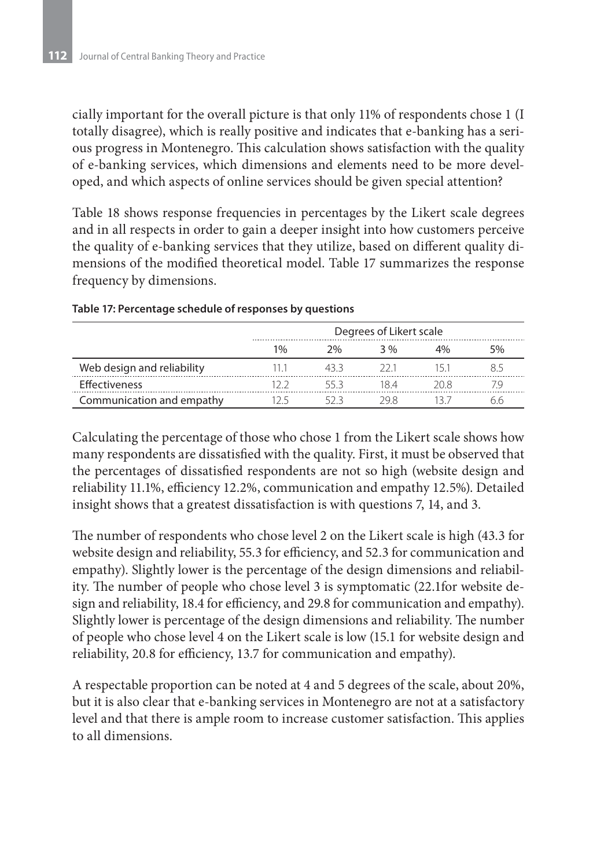cially important for the overall picture is that only 11% of respondents chose 1 (I totally disagree), which is really positive and indicates that e-banking has a serious progress in Montenegro. This calculation shows satisfaction with the quality of e-banking services, which dimensions and elements need to be more developed, and which aspects of online services should be given special attention?

Table 18 shows response frequencies in percentages by the Likert scale degrees and in all respects in order to gain a deeper insight into how customers perceive the quality of e-banking services that they utilize, based on different quality dimensions of the modified theoretical model. Table 17 summarizes the response frequency by dimensions.

|                            | Degrees of Likert scale |      |      |  |    |
|----------------------------|-------------------------|------|------|--|----|
|                            | 1%                      | ን‰   | 3 %  |  | 5% |
| Web design and reliability |                         | 43 R |      |  |    |
| <b>Effectiveness</b>       | 122                     | トト く | 184  |  |    |
| Communication and empathy  |                         |      | 7Q R |  |    |

#### **Table 17: Percentage schedule of responses by questions**

Calculating the percentage of those who chose 1 from the Likert scale shows how many respondents are dissatisfied with the quality. First, it must be observed that the percentages of dissatisfied respondents are not so high (website design and reliability 11.1%, efficiency 12.2%, communication and empathy 12.5%). Detailed insight shows that a greatest dissatisfaction is with questions 7, 14, and 3.

The number of respondents who chose level 2 on the Likert scale is high (43.3 for website design and reliability, 55.3 for efficiency, and 52.3 for communication and empathy). Slightly lower is the percentage of the design dimensions and reliability. The number of people who chose level 3 is symptomatic (22.1for website design and reliability, 18.4 for efficiency, and 29.8 for communication and empathy). Slightly lower is percentage of the design dimensions and reliability. The number of people who chose level 4 on the Likert scale is low (15.1 for website design and reliability, 20.8 for efficiency, 13.7 for communication and empathy).

A respectable proportion can be noted at 4 and 5 degrees of the scale, about 20%, but it is also clear that e-banking services in Montenegro are not at a satisfactory level and that there is ample room to increase customer satisfaction. This applies to all dimensions.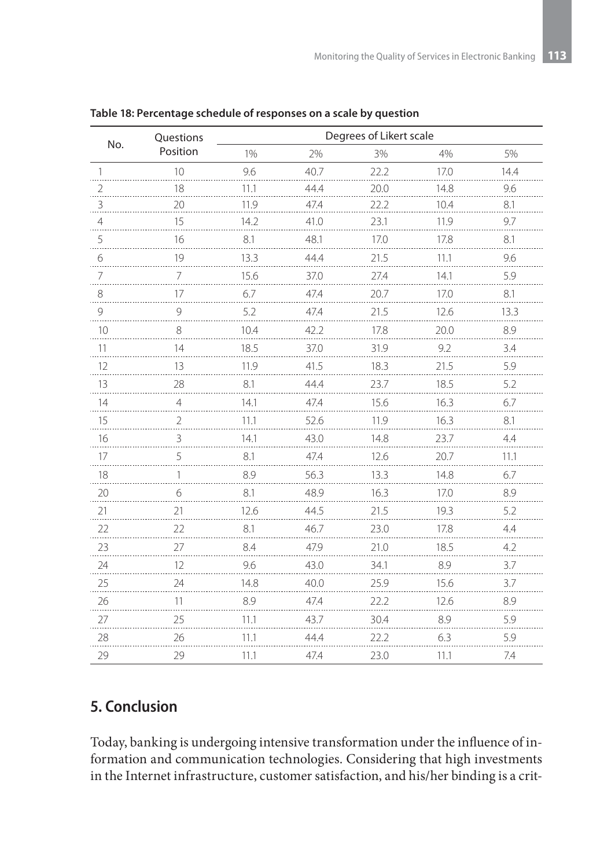| No.            | Questions       | Degrees of Likert scale |      |      |      |      |
|----------------|-----------------|-------------------------|------|------|------|------|
|                | Position        | 1%                      | 2%   | 3%   | 4%   | 5%   |
| $\mathbf{1}$   | 10 <sup>1</sup> | 9.6                     | 40.7 | 22.2 | 17.0 | 14.4 |
| $\overline{2}$ | 18              | 11.1                    | 44.4 | 20.0 | 14.8 | 9.6  |
| $\overline{3}$ | 20              | 11.9                    | 47.4 | 22.2 | 10.4 | 8.1  |
| $\overline{4}$ | 15              | 14.2                    | 41.0 | 23.1 | 11.9 | 9.7  |
| 5              | 16              | 8.1                     | 48.1 | 17.0 | 17.8 | 8.1  |
| 6              | 19              | 13.3                    | 44.4 | 21.5 | 11.1 | 9.6  |
| 7              | 7               | 15.6                    | 37.0 | 27.4 | 14.1 | 5.9  |
| 8              | 17              | 6.7                     | 47.4 | 20.7 | 17.0 | 8.1  |
| 9              | 9               | 5.2                     | 47.4 | 21.5 | 12.6 | 13.3 |
| 10             | 8               | 10.4                    | 42.2 | 17.8 | 20.0 | 8.9  |
| 11             | 14              | 18.5                    | 37.0 | 31.9 | 9.2  | 3.4  |
| 12             | 13              | 11.9                    | 41.5 | 18.3 | 21.5 | 5.9  |
| 13             | 28              | 8.1                     | 44.4 | 23.7 | 18.5 | 5.2  |
| 14             | $\overline{4}$  | 14.1                    | 47.4 | 15.6 | 16.3 | 6.7  |
| 15             | $\overline{2}$  | 11.1                    | 52.6 | 11.9 | 16.3 | 8.1  |
| 16             | 3               | 14.1                    | 43.0 | 14.8 | 23.7 | 4.4  |
| 17             | 5               | 8.1                     | 47.4 | 12.6 | 20.7 | 11.1 |
| 18             | 1               | 8.9                     | 56.3 | 13.3 | 14.8 | 6.7  |
| 20             | 6               | 8.1                     | 48.9 | 16.3 | 17.0 | 8.9  |
| 21             | 21              | 12.6                    | 44.5 | 21.5 | 19.3 | 5.2  |
| 22             | 22              | 8.1                     | 46.7 | 23.0 | 17.8 | 4.4  |
| 23             | 27              | 8.4                     | 47.9 | 21.0 | 18.5 | 4.2  |
| 24             | 12              | 9.6                     | 43.0 | 34.1 | 8.9  | 3.7  |
| 25             | $\overline{24}$ | 14.8                    | 40.0 | 25.9 | 15.6 | 3.7  |
| 26             | 11              | 8.9                     | 47.4 | 22.2 | 12.6 | 8.9  |
| 27             | 25              | 11.1                    | 43.7 | 30.4 | 8.9  | 5.9  |
| 28             | 26              | 11.1                    | 44.4 | 22.2 | 6.3  | 5.9  |
| 29             | 29              | 11.1                    | 47.4 | 23.0 | 11.1 | 7.4  |

#### **Table 18: Percentage schedule of responses on a scale by question**

# **5. Conclusion**

Today, banking is undergoing intensive transformation under the influence of information and communication technologies. Considering that high investments in the Internet infrastructure, customer satisfaction, and his/her binding is a crit-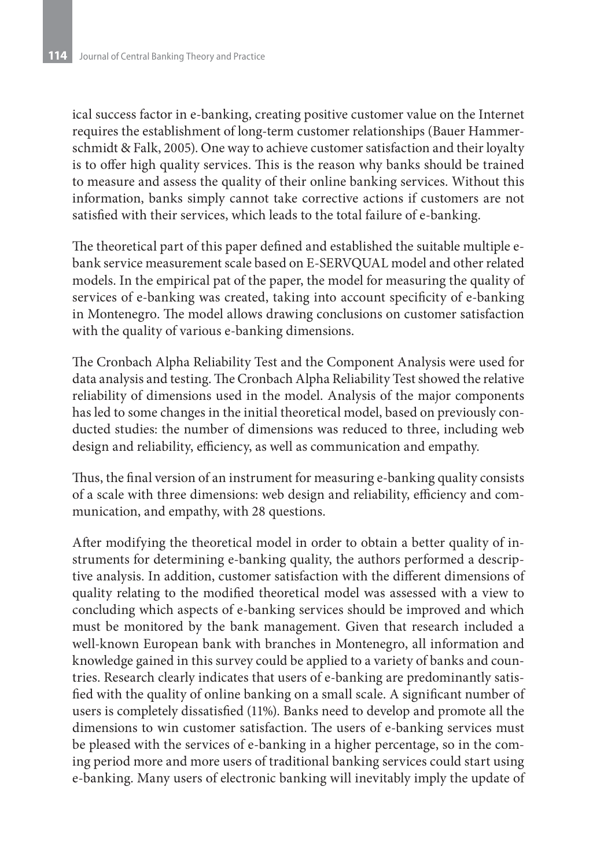ical success factor in e-banking, creating positive customer value on the Internet requires the establishment of long-term customer relationships (Bauer Hammerschmidt & Falk, 2005). One way to achieve customer satisfaction and their loyalty is to offer high quality services. This is the reason why banks should be trained to measure and assess the quality of their online banking services. Without this information, banks simply cannot take corrective actions if customers are not satisfied with their services, which leads to the total failure of e-banking.

The theoretical part of this paper defined and established the suitable multiple ebank service measurement scale based on E-SERVQUAL model and other related models. In the empirical pat of the paper, the model for measuring the quality of services of e-banking was created, taking into account specificity of e-banking in Montenegro. The model allows drawing conclusions on customer satisfaction with the quality of various e-banking dimensions.

The Cronbach Alpha Reliability Test and the Component Analysis were used for data analysis and testing. The Cronbach Alpha Reliability Test showed the relative reliability of dimensions used in the model. Analysis of the major components has led to some changes in the initial theoretical model, based on previously conducted studies: the number of dimensions was reduced to three, including web design and reliability, efficiency, as well as communication and empathy.

Thus, the final version of an instrument for measuring e-banking quality consists of a scale with three dimensions: web design and reliability, efficiency and communication, and empathy, with 28 questions.

After modifying the theoretical model in order to obtain a better quality of instruments for determining e-banking quality, the authors performed a descriptive analysis. In addition, customer satisfaction with the different dimensions of quality relating to the modified theoretical model was assessed with a view to concluding which aspects of e-banking services should be improved and which must be monitored by the bank management. Given that research included a well-known European bank with branches in Montenegro, all information and knowledge gained in this survey could be applied to a variety of banks and countries. Research clearly indicates that users of e-banking are predominantly satisfied with the quality of online banking on a small scale. A significant number of users is completely dissatisfied (11%). Banks need to develop and promote all the dimensions to win customer satisfaction. The users of e-banking services must be pleased with the services of e-banking in a higher percentage, so in the coming period more and more users of traditional banking services could start using e-banking. Many users of electronic banking will inevitably imply the update of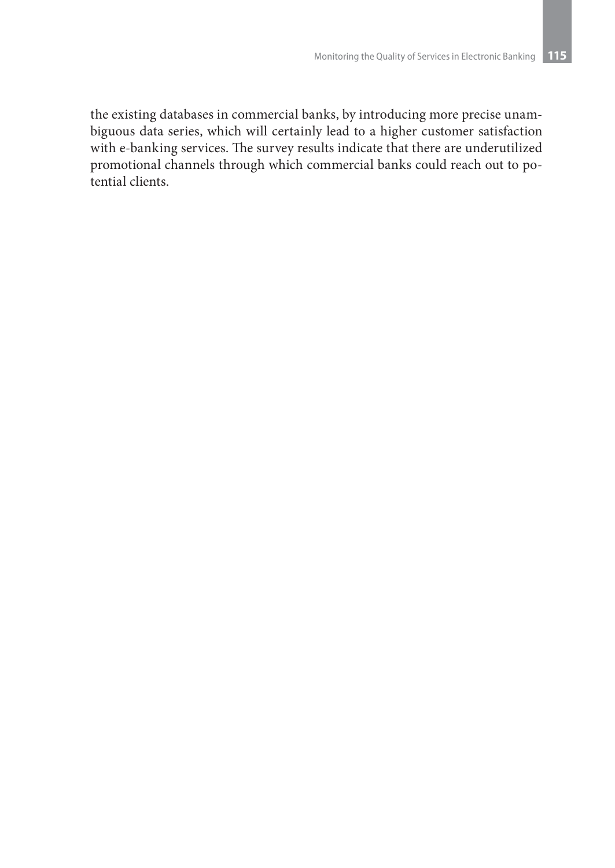the existing databases in commercial banks, by introducing more precise unambiguous data series, which will certainly lead to a higher customer satisfaction with e-banking services. The survey results indicate that there are underutilized promotional channels through which commercial banks could reach out to potential clients.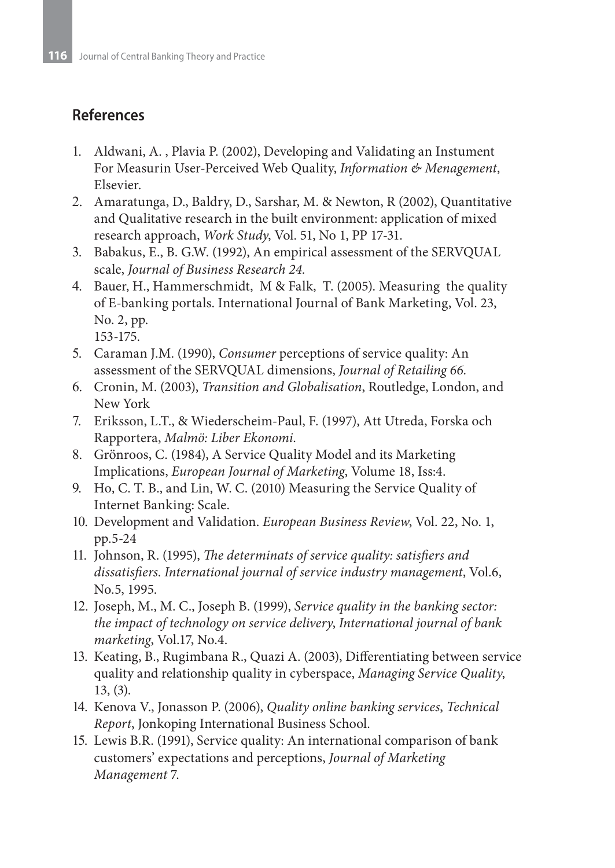## **References**

- 1. Aldwani, A., Plavia P. (2002), Developing and Validating an Instument For Measurin User-Perceived Web Quality, *Information & Menagement*, Elsevier.
- 2. Amaratunga, D., Baldry, D., Sarshar, M. & Newton, R (2002), Quantitative and Qualitative research in the built environment: application of mixed research approach, *Work Study*, Vol. 51, No 1, PP 17-31.
- 3. Babakus, E., B. G.W. (1992), An empirical assessment of the SERVQUAL scale, *Journal of Business Research 24.*
- 4. Bauer, H., Hammerschmidt, M & Falk, T. (2005). Measuring the quality of E-banking portals. International Journal of Bank Marketing, Vol. 23, No. 2, pp. 153-175.
- 5. Caraman J.M. (1990), *Consumer* perceptions of service quality: An assessment of the SERVQUAL dimensions, *Journal of Retailing 66.*
- 6. Cronin, M. (2003), *Transition and Globalisation*, Routledge, London, and New York
- 7. Eriksson, L.T., & Wiederscheim-Paul, F. (1997), Att Utreda, Forska och Rapportera, *Malmö: Liber Ekonomi*.
- 8. Grönroos, C. (1984), A Service Quality Model and its Marketing Implications, *European Journal of Marketing*, Volume 18, Iss:4.
- 9. Ho, C. T. B., and Lin, W. C. (2010) Measuring the Service Quality of Internet Banking: Scale.
- 10. Development and Validation. *European Business Review*, Vol. 22, No. 1, pp.5-24
- 11. Johnson, R. (1995), *The determinats of service quality: satisfiers and dissatisfiers*. *International journal of service industry management*, Vol.6, No.5, 1995.
- 12. Joseph, M., M. C., Joseph B. (1999), *Service quality in the banking sector: the impact of technology on service delivery*, *International journal of bank marketing*, Vol.17, No.4.
- 13. Keating, B., Rugimbana R., Quazi A. (2003), Differentiating between service quality and relationship quality in cyberspace, *Managing Service Quality*, 13, (3).
- 14. Kenova V., Jonasson P. (2006), *Quality online banking services*, *Technical Report*, Jonkoping International Business School.
- 15. Lewis B.R. (1991), Service quality: An international comparison of bank customers' expectations and perceptions, *Journal of Marketing Management* 7.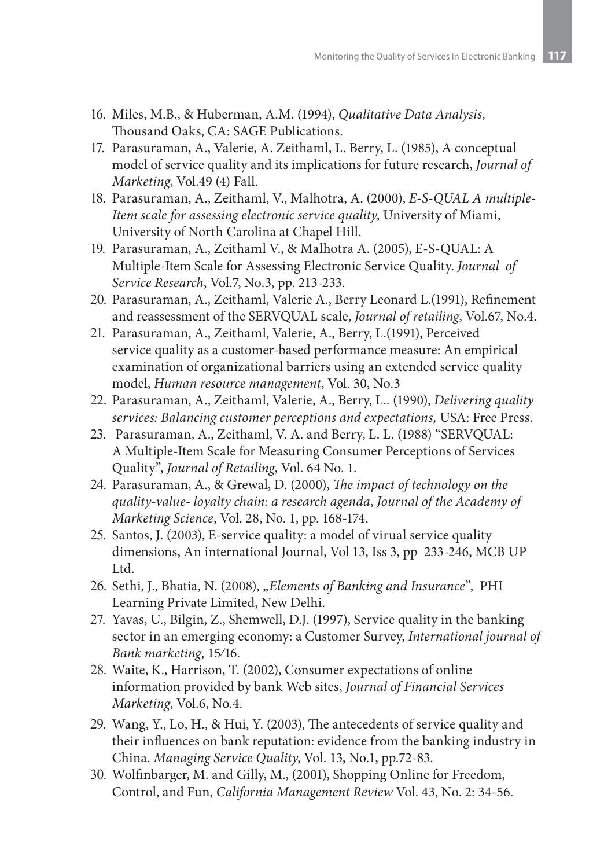- 16. Miles, M.B., & Huberman, A.M. (1994), *Qualitative Data Analysis*, Thousand Oaks, CA: SAGE Publications.
- 17. Parasuraman, A., Valerie, A. Zeithaml, L. Berry, L. (1985), A conceptual model of service quality and its implications for future research, *Journal of Marketing*, Vol.49 (4) Fall.
- 18. Parasuraman, A., Zeithaml, V., Malhotra, A. (2000), *E-S-QUAL A multiple-Item scale for assessing electronic service quality*, University of Miami, University of North Carolina at Chapel Hill.
- 19. Parasuraman, A., Zeithaml V., & Malhotra A. (2005), E-S-QUAL: A Multiple-Item Scale for Assessing Electronic Service Quality. *Journal of Service Research*, Vol.7, No.3, pp. 213-233.
- 20. Parasuraman, A., Zeithaml, Valerie A., Berry Leonard L.(1991), Refinement and reassessment of the SERVQUAL scale, *Journal of retailing*, Vol.67, No.4.
- 21. Parasuraman, A., Zeithaml, Valerie, A., Berry, L.(1991), Perceived service quality as a customer-based performance measure: An empirical examination of organizational barriers using an extended service quality model, *Human resource management*, Vol. 30, No.3
- 22. Parasuraman, A., Zeithaml, Valerie, A., Berry, L.. (1990), *Delivering quality services: Balancing customer perceptions and expectations,* USA: Free Press.
- 23. Parasuraman, A., Zeithaml, V. A. and Berry, L. L. (1988) "SERVQUAL: A Multiple-Item Scale for Measuring Consumer Perceptions of Services Quality", *Journal of Retailing*, Vol. 64 No. 1.
- 24. Parasuraman, A., & Grewal, D. (2000), *The impact of technology on the quality-value- loyalty chain: a research agenda*, *Journal of the Academy of Marketing Science*, Vol. 28, No. 1, pp. 168-174.
- 25. Santos, J. (2003), E-service quality: a model of virual service quality dimensions, An international Journal, Vol 13, Iss 3, pp 233-246, MCB UP Ltd.
- 26. Sethi, J., Bhatia, N. (2008), "*Elements of Banking and Insurance*", PHI Learning Private Limited, New Delhi.
- 27. Yavas, U., Bilgin, Z., Shemwell, D.J. (1997), Service quality in the banking sector in an emerging economy: a Customer Survey, *International journal of Bank marketing*, 15∕16.
- 28. Waite, K., Harrison, T. (2002), Consumer expectations of online information provided by bank Web sites, *Journal of Financial Services Marketing*, Vol.6, No.4.
- 29. Wang, Y., Lo, H., & Hui, Y. (2003), The antecedents of service quality and their influences on bank reputation: evidence from the banking industry in China. *Managing Service Quality*, Vol. 13, No.1, pp.72-83.
- 30. Wolfinbarger, M. and Gilly, M., (2001), Shopping Online for Freedom, Control, and Fun, *California Management Review* Vol. 43, No. 2: 34-56.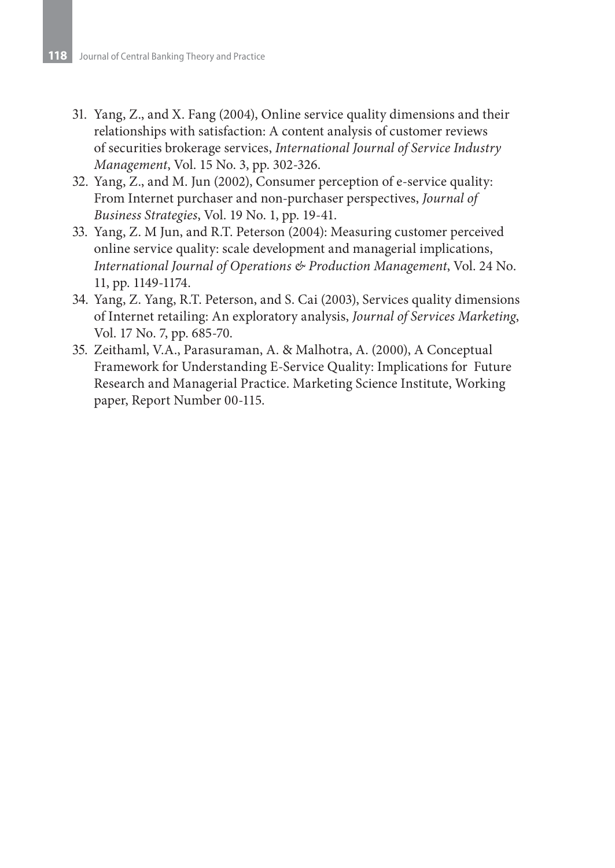- 31. Yang, Z., and X. Fang (2004), Online service quality dimensions and their relationships with satisfaction: A content analysis of customer reviews of securities brokerage services, *International Journal of Service Industry Management*, Vol. 15 No. 3, pp. 302-326.
- 32. Yang, Z., and M. Jun (2002), Consumer perception of e-service quality: From Internet purchaser and non-purchaser perspectives, *Journal of Business Strategies*, Vol. 19 No. 1, pp. 19-41.
- 33. Yang, Z. M Jun, and R.T. Peterson (2004): Measuring customer perceived online service quality: scale development and managerial implications, *International Journal of Operations & Production Management*, Vol. 24 No. 11, pp. 1149-1174.
- 34. Yang, Z. Yang, R.T. Peterson, and S. Cai (2003), Services quality dimensions of Internet retailing: An exploratory analysis, *Journal of Services Marketing*, Vol. 17 No. 7, pp. 685-70.
- 35. Zeithaml, V.A., Parasuraman, A. & Malhotra, A. (2000), A Conceptual Framework for Understanding E-Service Quality: Implications for Future Research and Managerial Practice. Marketing Science Institute, Working paper, Report Number 00-115.